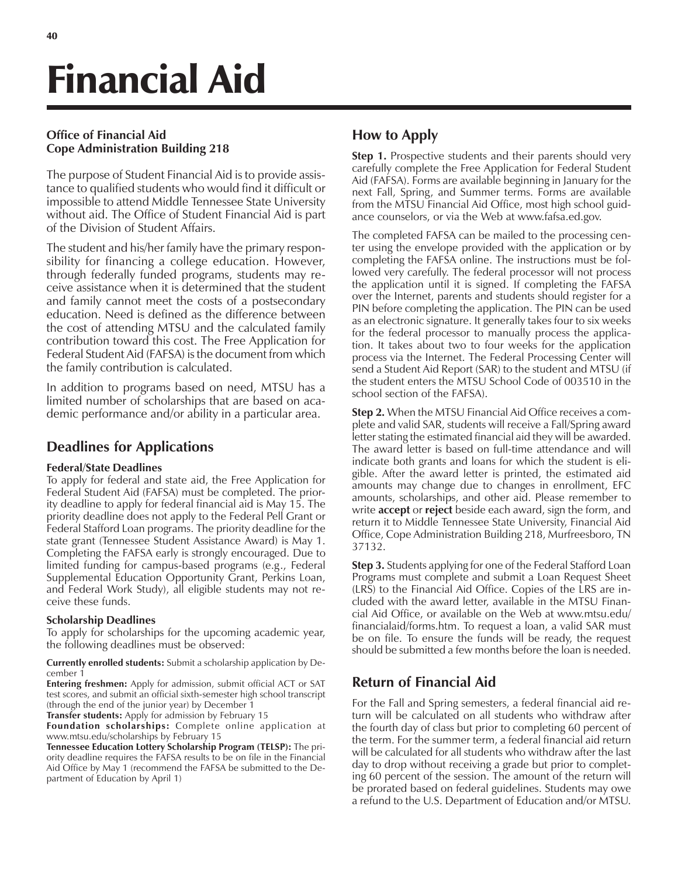# Financial Aid

### **Office of Financial Aid Cope Administration Building 218**

The purpose of Student Financial Aid is to provide assistance to qualified students who would find it difficult or impossible to attend Middle Tennessee State University without aid. The Office of Student Financial Aid is part of the Division of Student Affairs.

The student and his/her family have the primary responsibility for financing a college education. However, through federally funded programs, students may receive assistance when it is determined that the student and family cannot meet the costs of a postsecondary education. Need is defined as the difference between the cost of attending MTSU and the calculated family contribution toward this cost. The Free Application for Federal Student Aid (FAFSA) is the document from which the family contribution is calculated.

In addition to programs based on need, MTSU has a limited number of scholarships that are based on academic performance and/or ability in a particular area.

# **Deadlines for Applications**

#### **Federal/State Deadlines**

To apply for federal and state aid, the Free Application for Federal Student Aid (FAFSA) must be completed. The priority deadline to apply for federal financial aid is May 15. The priority deadline does not apply to the Federal Pell Grant or Federal Stafford Loan programs. The priority deadline for the state grant (Tennessee Student Assistance Award) is May 1. Completing the FAFSA early is strongly encouraged. Due to limited funding for campus-based programs (e.g., Federal Supplemental Education Opportunity Grant, Perkins Loan, and Federal Work Study), all eligible students may not receive these funds.

#### **Scholarship Deadlines**

To apply for scholarships for the upcoming academic year, the following deadlines must be observed:

**Currently enrolled students:** Submit a scholarship application by December 1

**Entering freshmen:** Apply for admission, submit official ACT or SAT test scores, and submit an official sixth-semester high school transcript (through the end of the junior year) by December 1

**Transfer students:** Apply for admission by February 15

**Foundation scholarships:** Complete online application at www.mtsu.edu/scholarships by February 15

**Tennessee Education Lottery Scholarship Program (TELSP):** The priority deadline requires the FAFSA results to be on file in the Financial Aid Office by May 1 (recommend the FAFSA be submitted to the Department of Education by April 1)

# **How to Apply**

**Step 1.** Prospective students and their parents should very carefully complete the Free Application for Federal Student Aid (FAFSA). Forms are available beginning in January for the next Fall, Spring, and Summer terms. Forms are available from the MTSU Financial Aid Office, most high school guidance counselors, or via the Web at www.fafsa.ed.gov.

The completed FAFSA can be mailed to the processing center using the envelope provided with the application or by completing the FAFSA online. The instructions must be followed very carefully. The federal processor will not process the application until it is signed. If completing the FAFSA over the Internet, parents and students should register for a PIN before completing the application. The PIN can be used as an electronic signature. It generally takes four to six weeks for the federal processor to manually process the application. It takes about two to four weeks for the application process via the Internet. The Federal Processing Center will send a Student Aid Report (SAR) to the student and MTSU (if the student enters the MTSU School Code of 003510 in the school section of the FAFSA).

**Step 2.** When the MTSU Financial Aid Office receives a complete and valid SAR, students will receive a Fall/Spring award letter stating the estimated financial aid they will be awarded. The award letter is based on full-time attendance and will indicate both grants and loans for which the student is eligible. After the award letter is printed, the estimated aid amounts may change due to changes in enrollment, EFC amounts, scholarships, and other aid. Please remember to write **accept** or **reject** beside each award, sign the form, and return it to Middle Tennessee State University, Financial Aid Office, Cope Administration Building 218, Murfreesboro, TN 37132.

**Step 3.** Students applying for one of the Federal Stafford Loan Programs must complete and submit a Loan Request Sheet (LRS) to the Financial Aid Office. Copies of the LRS are included with the award letter, available in the MTSU Financial Aid Office, or available on the Web at www.mtsu.edu/ financialaid/forms.htm. To request a loan, a valid SAR must be on file. To ensure the funds will be ready, the request should be submitted a few months before the loan is needed.

# **Return of Financial Aid**

For the Fall and Spring semesters, a federal financial aid return will be calculated on all students who withdraw after the fourth day of class but prior to completing 60 percent of the term. For the summer term, a federal financial aid return will be calculated for all students who withdraw after the last day to drop without receiving a grade but prior to completing 60 percent of the session. The amount of the return will be prorated based on federal guidelines. Students may owe a refund to the U.S. Department of Education and/or MTSU.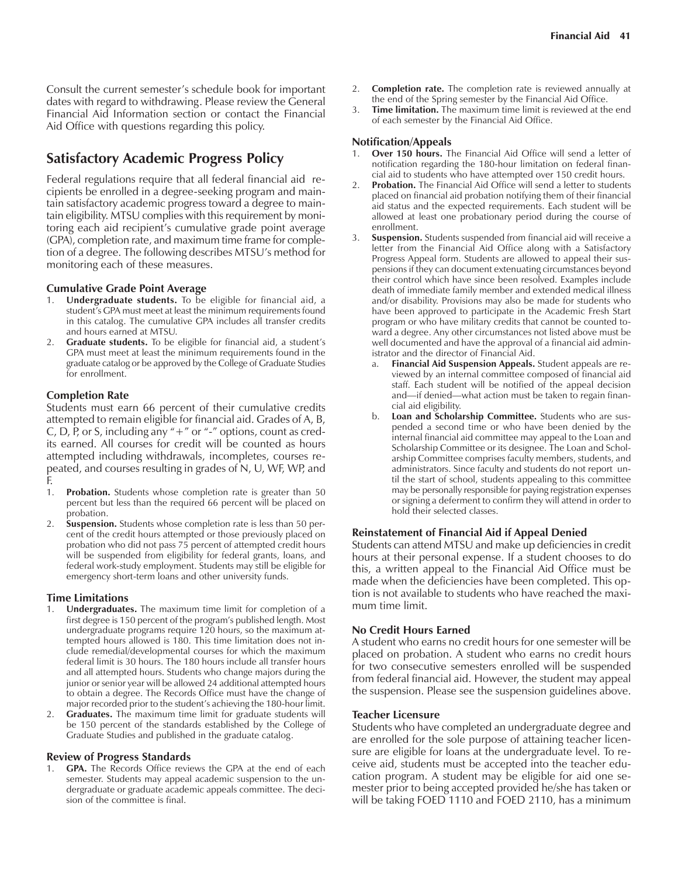Consult the current semester's schedule book for important dates with regard to withdrawing. Please review the General Financial Aid Information section or contact the Financial Aid Office with questions regarding this policy.

## **Satisfactory Academic Progress Policy**

Federal regulations require that all federal financial aid recipients be enrolled in a degree-seeking program and maintain satisfactory academic progress toward a degree to maintain eligibility. MTSU complies with this requirement by monitoring each aid recipient's cumulative grade point average (GPA), completion rate, and maximum time frame for completion of a degree. The following describes MTSU's method for monitoring each of these measures.

#### **Cumulative Grade Point Average**

- 1. **Undergraduate students.** To be eligible for financial aid, a student's GPA must meet at least the minimum requirements found in this catalog. The cumulative GPA includes all transfer credits and hours earned at MTSU.
- 2. **Graduate students.** To be eligible for financial aid, a student's GPA must meet at least the minimum requirements found in the graduate catalog or be approved by the College of Graduate Studies for enrollment.

#### **Completion Rate**

Students must earn 66 percent of their cumulative credits attempted to remain eligible for financial aid. Grades of A, B, C, D, P, or S, including any  $4 + 7$  or  $4 - 7$  options, count as credits earned. All courses for credit will be counted as hours attempted including withdrawals, incompletes, courses repeated, and courses resulting in grades of N, U, WF, WP, and F.

- 1. **Probation.** Students whose completion rate is greater than 50 percent but less than the required 66 percent will be placed on probation.
- 2. **Suspension.** Students whose completion rate is less than 50 percent of the credit hours attempted or those previously placed on probation who did not pass 75 percent of attempted credit hours will be suspended from eligibility for federal grants, loans, and federal work-study employment. Students may still be eligible for emergency short-term loans and other university funds.

#### **Time Limitations**

- 1. **Undergraduates.** The maximum time limit for completion of a first degree is 150 percent of the program's published length. Most undergraduate programs require 120 hours, so the maximum attempted hours allowed is 180. This time limitation does not include remedial/developmental courses for which the maximum federal limit is 30 hours. The 180 hours include all transfer hours and all attempted hours. Students who change majors during the junior or senior year will be allowed 24 additional attempted hours to obtain a degree. The Records Office must have the change of major recorded prior to the student's achieving the 180-hour limit.
- 2. **Graduates.** The maximum time limit for graduate students will be 150 percent of the standards established by the College of Graduate Studies and published in the graduate catalog.

#### **Review of Progress Standards**

**GPA.** The Records Office reviews the GPA at the end of each semester. Students may appeal academic suspension to the undergraduate or graduate academic appeals committee. The decision of the committee is final.

- 2. **Completion rate.** The completion rate is reviewed annually at the end of the Spring semester by the Financial Aid Office.
- 3. **Time limitation.** The maximum time limit is reviewed at the end of each semester by the Financial Aid Office.

#### **Notification/Appeals**

- 1. **Over 150 hours.** The Financial Aid Office will send a letter of notification regarding the 180-hour limitation on federal financial aid to students who have attempted over 150 credit hours.
- 2. **Probation.** The Financial Aid Office will send a letter to students placed on financial aid probation notifying them of their financial aid status and the expected requirements. Each student will be allowed at least one probationary period during the course of enrollment.
- 3. **Suspension.** Students suspended from financial aid will receive a letter from the Financial Aid Office along with a Satisfactory Progress Appeal form. Students are allowed to appeal their suspensions if they can document extenuating circumstances beyond their control which have since been resolved. Examples include death of immediate family member and extended medical illness and/or disability. Provisions may also be made for students who have been approved to participate in the Academic Fresh Start program or who have military credits that cannot be counted toward a degree. Any other circumstances not listed above must be well documented and have the approval of a financial aid administrator and the director of Financial Aid.
	- a. **Financial Aid Suspension Appeals.** Student appeals are reviewed by an internal committee composed of financial aid staff. Each student will be notified of the appeal decision and-if denied-what action must be taken to regain financial aid eligibility.
	- b. **Loan and Scholarship Committee.** Students who are suspended a second time or who have been denied by the internal financial aid committee may appeal to the Loan and Scholarship Committee or its designee. The Loan and Scholarship Committee comprises faculty members, students, and administrators. Since faculty and students do not report until the start of school, students appealing to this committee may be personally responsible for paying registration expenses or signing a deferment to confirm they will attend in order to hold their selected classes.

#### **Reinstatement of Financial Aid if Appeal Denied**

Students can attend MTSU and make up deficiencies in credit hours at their personal expense. If a student chooses to do this, a written appeal to the Financial Aid Office must be made when the deficiencies have been completed. This option is not available to students who have reached the maximum time limit.

#### **No Credit Hours Earned**

A student who earns no credit hours for one semester will be placed on probation. A student who earns no credit hours for two consecutive semesters enrolled will be suspended from federal financial aid. However, the student may appeal the suspension. Please see the suspension guidelines above.

#### **Teacher Licensure**

Students who have completed an undergraduate degree and are enrolled for the sole purpose of attaining teacher licensure are eligible for loans at the undergraduate level. To receive aid, students must be accepted into the teacher education program. A student may be eligible for aid one semester prior to being accepted provided he/she has taken or will be taking FOED 1110 and FOED 2110, has a minimum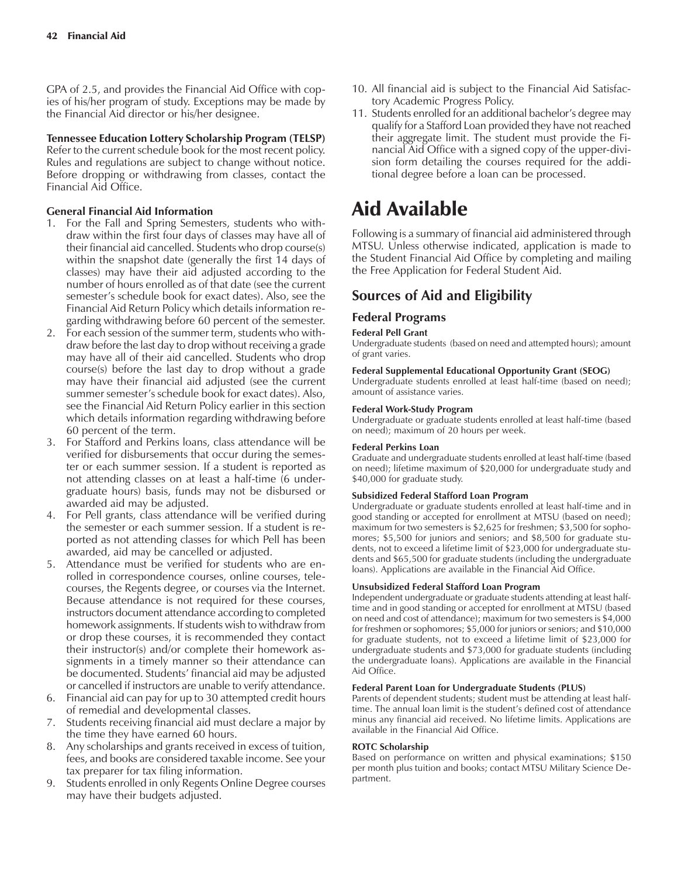GPA of 2.5, and provides the Financial Aid Office with copies of his/her program of study. Exceptions may be made by the Financial Aid director or his/her designee.

#### **Tennessee Education Lottery Scholarship Program (TELSP)**

Refer to the current schedule book for the most recent policy. Rules and regulations are subject to change without notice. Before dropping or withdrawing from classes, contact the Financial Aid Office.

#### **General Financial Aid Information**

- 1. For the Fall and Spring Semesters, students who withdraw within the first four days of classes may have all of their financial aid cancelled. Students who drop course(s) within the snapshot date (generally the first 14 days of classes) may have their aid adjusted according to the number of hours enrolled as of that date (see the current semester's schedule book for exact dates). Also, see the Financial Aid Return Policy which details information regarding withdrawing before 60 percent of the semester.
- 2. For each session of the summer term, students who withdraw before the last day to drop without receiving a grade may have all of their aid cancelled. Students who drop course(s) before the last day to drop without a grade may have their financial aid adjusted (see the current summer semester's schedule book for exact dates). Also, see the Financial Aid Return Policy earlier in this section which details information regarding withdrawing before 60 percent of the term.
- 3. For Stafford and Perkins loans, class attendance will be verified for disbursements that occur during the semester or each summer session. If a student is reported as not attending classes on at least a half-time (6 undergraduate hours) basis, funds may not be disbursed or awarded aid may be adjusted.
- 4. For Pell grants, class attendance will be verified during the semester or each summer session. If a student is reported as not attending classes for which Pell has been awarded, aid may be cancelled or adjusted.
- 5. Attendance must be verified for students who are enrolled in correspondence courses, online courses, telecourses, the Regents degree, or courses via the Internet. Because attendance is not required for these courses, instructors document attendance according to completed homework assignments. If students wish to withdraw from or drop these courses, it is recommended they contact their instructor(s) and/or complete their homework assignments in a timely manner so their attendance can be documented. Students' financial aid may be adjusted or cancelled if instructors are unable to verify attendance.
- 6. Financial aid can pay for up to 30 attempted credit hours of remedial and developmental classes.
- 7. Students receiving financial aid must declare a major by the time they have earned 60 hours.
- 8. Any scholarships and grants received in excess of tuition, fees, and books are considered taxable income. See your tax preparer for tax filing information.
- 9. Students enrolled in only Regents Online Degree courses may have their budgets adjusted.
- 10. All financial aid is subject to the Financial Aid Satisfactory Academic Progress Policy.
- 11. Students enrolled for an additional bachelor's degree may qualify for a Stafford Loan provided they have not reached their aggregate limit. The student must provide the Financial Aid Office with a signed copy of the upper-division form detailing the courses required for the additional degree before a loan can be processed.

# Aid Available

Following is a summary of financial aid administered through MTSU. Unless otherwise indicated, application is made to the Student Financial Aid Office by completing and mailing the Free Application for Federal Student Aid.

# **Sources of Aid and Eligibility**

#### **Federal Programs**

#### **Federal Pell Grant**

Undergraduate students (based on need and attempted hours); amount of grant varies.

#### **Federal Supplemental Educational Opportunity Grant (SEOG)**

Undergraduate students enrolled at least half-time (based on need); amount of assistance varies.

#### **Federal Work-Study Program**

Undergraduate or graduate students enrolled at least half-time (based on need); maximum of 20 hours per week.

#### **Federal Perkins Loan**

Graduate and undergraduate students enrolled at least half-time (based on need); lifetime maximum of \$20,000 for undergraduate study and \$40,000 for graduate study.

#### **Subsidized Federal Stafford Loan Program**

Undergraduate or graduate students enrolled at least half-time and in good standing or accepted for enrollment at MTSU (based on need); maximum for two semesters is \$2,625 for freshmen; \$3,500 for sophomores; \$5,500 for juniors and seniors; and \$8,500 for graduate students, not to exceed a lifetime limit of \$23,000 for undergraduate students and \$65,500 for graduate students (including the undergraduate loans). Applications are available in the Financial Aid Office.

#### **Unsubsidized Federal Stafford Loan Program**

Independent undergraduate or graduate students attending at least halftime and in good standing or accepted for enrollment at MTSU (based on need and cost of attendance); maximum for two semesters is \$4,000 for freshmen or sophomores; \$5,000 for juniors or seniors; and \$10,000 for graduate students, not to exceed a lifetime limit of \$23,000 for undergraduate students and \$73,000 for graduate students (including the undergraduate loans). Applications are available in the Financial Aid Office.

#### **Federal Parent Loan for Undergraduate Students (PLUS)**

Parents of dependent students; student must be attending at least halftime. The annual loan limit is the student's defined cost of attendance minus any financial aid received. No lifetime limits. Applications are available in the Financial Aid Office.

#### **ROTC Scholarship**

Based on performance on written and physical examinations; \$150 per month plus tuition and books; contact MTSU Military Science Department.